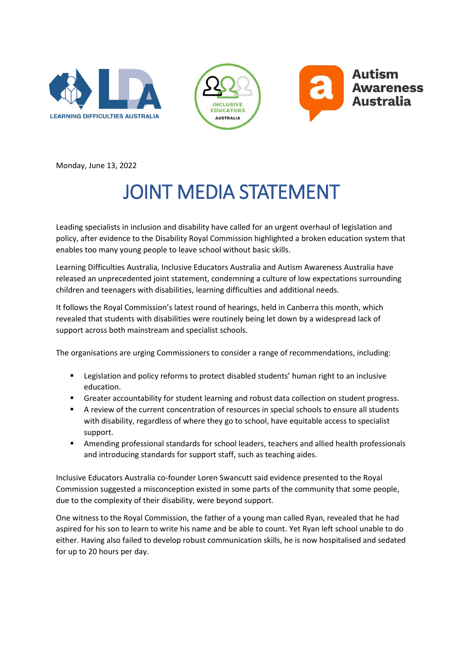





Monday, June 13, 2022

## JOINT MEDIA STATEMENT

Leading specialists in inclusion and disability have called for an urgent overhaul of legislation and policy, after evidence to the Disability Royal Commission highlighted a broken education system that enables too many young people to leave school without basic skills.

Learning Difficulties Australia, Inclusive Educators Australia and Autism Awareness Australia have released an unprecedented joint statement, condemning a culture of low expectations surrounding children and teenagers with disabilities, learning difficulties and additional needs.

It follows the Royal Commission's latest round of hearings, held in Canberra this month, which revealed that students with disabilities were routinely being let down by a widespread lack of support across both mainstream and specialist schools.

The organisations are urging Commissioners to consider a range of recommendations, including:

- Legislation and policy reforms to protect disabled students' human right to an inclusive education.
- **■** Greater accountability for student learning and robust data collection on student progress.
- A review of the current concentration of resources in special schools to ensure all students with disability, regardless of where they go to school, have equitable access to specialist support.
- Amending professional standards for school leaders, teachers and allied health professionals and introducing standards for support staff, such as teaching aides.

Inclusive Educators Australia co-founder Loren Swancutt said evidence presented to the Royal Commission suggested a misconception existed in some parts of the community that some people, due to the complexity of their disability, were beyond support.

One witness to the Royal Commission, the father of a young man called Ryan, revealed that he had aspired for his son to learn to write his name and be able to count. Yet Ryan left school unable to do either. Having also failed to develop robust communication skills, he is now hospitalised and sedated for up to 20 hours per day.